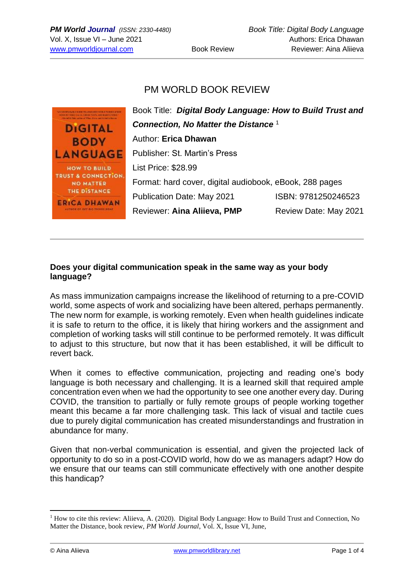## PM WORLD BOOK REVIEW

| <b>LOCALISTA BLOCK AND TO A BALLET FOR A TURNED OF USE</b><br><b>A CARD IN THE R. P. LEWIS CO., LANSING, MICH. 49-14039-1-120-2</b> | Book Title: Digital Body Language: How to Build Trust and |                       |
|-------------------------------------------------------------------------------------------------------------------------------------|-----------------------------------------------------------|-----------------------|
| tells until her at 1979m. Die von und the bad in chan-<br><b>DIGITAL</b>                                                            | Connection, No Matter the Distance 1                      |                       |
| <b>BODY</b>                                                                                                                         | Author: Erica Dhawan                                      |                       |
| <b>LANGUAGE</b>                                                                                                                     | <b>Publisher: St. Martin's Press</b>                      |                       |
| <b>HOW TO BUILD</b>                                                                                                                 | List Price: \$28.99                                       |                       |
| <b>TRUST &amp; CONNECTION.</b><br><b>NO MATTER</b>                                                                                  | Format: hard cover, digital audiobook, eBook, 288 pages   |                       |
| <b>THE DISTANCE</b><br><b>ERICA DHAWAN</b>                                                                                          | <b>Publication Date: May 2021</b>                         | ISBN: 9781250246523   |
| r os get alg tuiurt boas                                                                                                            | Reviewer: Aina Aliieva, PMP                               | Review Date: May 2021 |
|                                                                                                                                     |                                                           |                       |

## **Does your digital communication speak in the same way as your body language?**

As mass immunization campaigns increase the likelihood of returning to a pre-COVID world, some aspects of work and socializing have been altered, perhaps permanently. The new norm for example, is working remotely. Even when health guidelines indicate it is safe to return to the office, it is likely that hiring workers and the assignment and completion of working tasks will still continue to be performed remotely. It was difficult to adjust to this structure, but now that it has been established, it will be difficult to revert back.

When it comes to effective communication, projecting and reading one's body language is both necessary and challenging. It is a learned skill that required ample concentration even when we had the opportunity to see one another every day. During COVID, the transition to partially or fully remote groups of people working together meant this became a far more challenging task. This lack of visual and tactile cues due to purely digital communication has created misunderstandings and frustration in abundance for many.

Given that non-verbal communication is essential, and given the projected lack of opportunity to do so in a post-COVID world, how do we as managers adapt? How do we ensure that our teams can still communicate effectively with one another despite this handicap?

 $1$  How to cite this review: Aliieva, A. (2020). Digital Body Language: How to Build Trust and Connection, No Matter the Distance, book review, *PM World Journal*, Vol. X, Issue VI, June,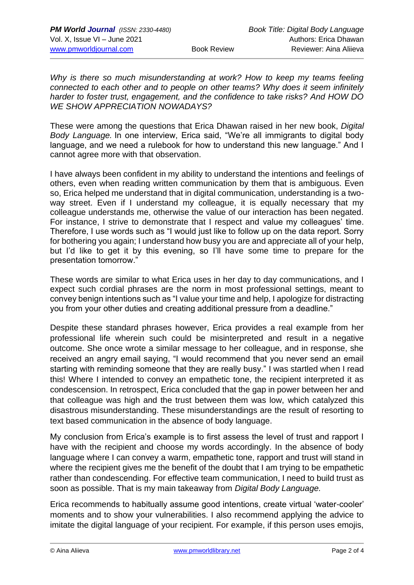*Why is there so much misunderstanding at work? How to keep my teams feeling connected to each other and to people on other teams? Why does it seem infinitely harder to foster trust, engagement, and the confidence to take risks? And HOW DO WE SHOW APPRECIATION NOWADAYS?*

These were among the questions that Erica Dhawan raised in her new book, *Digital Body Language.* In one interview, Erica said, "We're all immigrants to digital body language, and we need a rulebook for how to understand this new language." And I cannot agree more with that observation.

I have always been confident in my ability to understand the intentions and feelings of others, even when reading written communication by them that is ambiguous. Even so, Erica helped me understand that in digital communication, understanding is a twoway street. Even if I understand my colleague, it is equally necessary that my colleague understands me, otherwise the value of our interaction has been negated. For instance, I strive to demonstrate that I respect and value my colleagues' time. Therefore, I use words such as "I would just like to follow up on the data report. Sorry for bothering you again; I understand how busy you are and appreciate all of your help, but I'd like to get it by this evening, so I'll have some time to prepare for the presentation tomorrow."

These words are similar to what Erica uses in her day to day communications, and I expect such cordial phrases are the norm in most professional settings, meant to convey benign intentions such as "I value your time and help, I apologize for distracting you from your other duties and creating additional pressure from a deadline."

Despite these standard phrases however, Erica provides a real example from her professional life wherein such could be misinterpreted and result in a negative outcome. She once wrote a similar message to her colleague, and in response, she received an angry email saying, "I would recommend that you never send an email starting with reminding someone that they are really busy." I was startled when I read this! Where I intended to convey an empathetic tone, the recipient interpreted it as condescension. In retrospect, Erica concluded that the gap in power between her and that colleague was high and the trust between them was low, which catalyzed this disastrous misunderstanding. These misunderstandings are the result of resorting to text based communication in the absence of body language.

My conclusion from Erica's example is to first assess the level of trust and rapport I have with the recipient and choose my words accordingly. In the absence of body language where I can convey a warm, empathetic tone, rapport and trust will stand in where the recipient gives me the benefit of the doubt that I am trying to be empathetic rather than condescending. For effective team communication, I need to build trust as soon as possible. That is my main takeaway from *Digital Body Language.*

Erica recommends to habitually assume good intentions, create virtual 'water-cooler' moments and to show your vulnerabilities. I also recommend applying the advice to imitate the digital language of your recipient. For example, if this person uses emojis,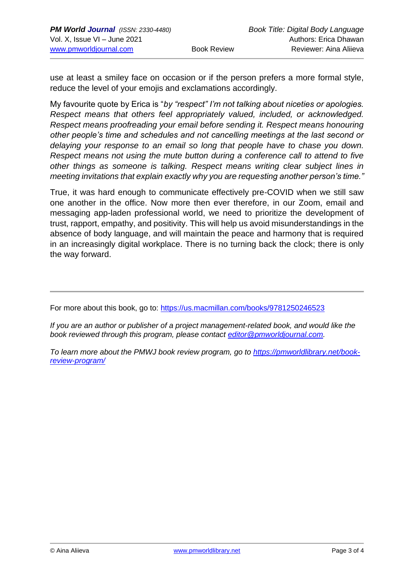use at least a smiley face on occasion or if the person prefers a more formal style, reduce the level of your emojis and exclamations accordingly.

My favourite quote by Erica is "*by "respect" I'm not talking about niceties or apologies. Respect means that others feel appropriately valued, included, or acknowledged. Respect means proofreading your email before sending it. Respect means honouring other people's time and schedules and not cancelling meetings at the last second or delaying your response to an email so long that people have to chase you down. Respect means not using the mute button during a conference call to attend to five other things as someone is talking. Respect means writing clear subject lines in meeting invitations that explain exactly why you are requesting another person's time."*

True, it was hard enough to communicate effectively pre-COVID when we still saw one another in the office. Now more then ever therefore, in our Zoom, email and messaging app-laden professional world, we need to prioritize the development of trust, rapport, empathy, and positivity. This will help us avoid misunderstandings in the absence of body language, and will maintain the peace and harmony that is required in an increasingly digital workplace. There is no turning back the clock; there is only the way forward.

For more about this book, go to:<https://us.macmillan.com/books/9781250246523>

*If you are an author or publisher of a project management-related book, and would like the book reviewed through this program, please contact [editor@pmworldjournal.com.](mailto:editor@pmworldjournal.com)*

*To learn more about the PMWJ book review program, go to [https://pmworldlibrary.net/book](https://pmworldlibrary.net/book-review-program/)[review-program/](https://pmworldlibrary.net/book-review-program/)*